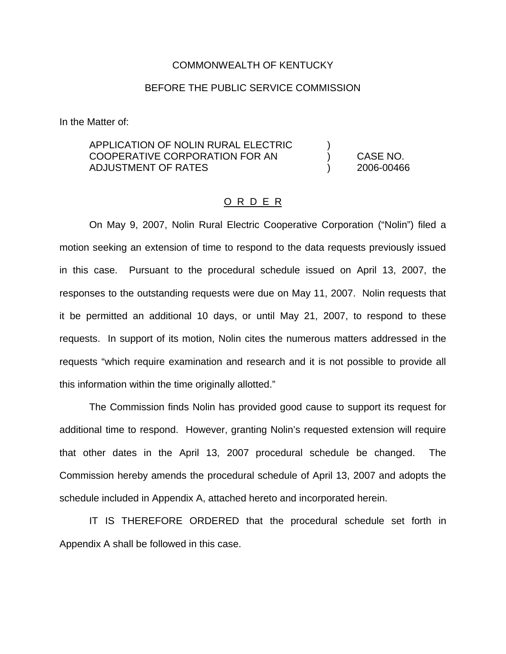#### COMMONWEALTH OF KENTUCKY

### BEFORE THE PUBLIC SERVICE COMMISSION

In the Matter of:

## APPLICATION OF NOLIN RURAL ELECTRIC ) COOPERATIVE CORPORATION FOR AN ) CASE NO. ADJUSTMENT OF RATES ) 2006-00466

#### O R D E R

On May 9, 2007, Nolin Rural Electric Cooperative Corporation ("Nolin") filed a motion seeking an extension of time to respond to the data requests previously issued in this case. Pursuant to the procedural schedule issued on April 13, 2007, the responses to the outstanding requests were due on May 11, 2007. Nolin requests that it be permitted an additional 10 days, or until May 21, 2007, to respond to these requests. In support of its motion, Nolin cites the numerous matters addressed in the requests "which require examination and research and it is not possible to provide all this information within the time originally allotted."

The Commission finds Nolin has provided good cause to support its request for additional time to respond. However, granting Nolin's requested extension will require that other dates in the April 13, 2007 procedural schedule be changed. The Commission hereby amends the procedural schedule of April 13, 2007 and adopts the schedule included in Appendix A, attached hereto and incorporated herein.

IT IS THEREFORE ORDERED that the procedural schedule set forth in Appendix A shall be followed in this case.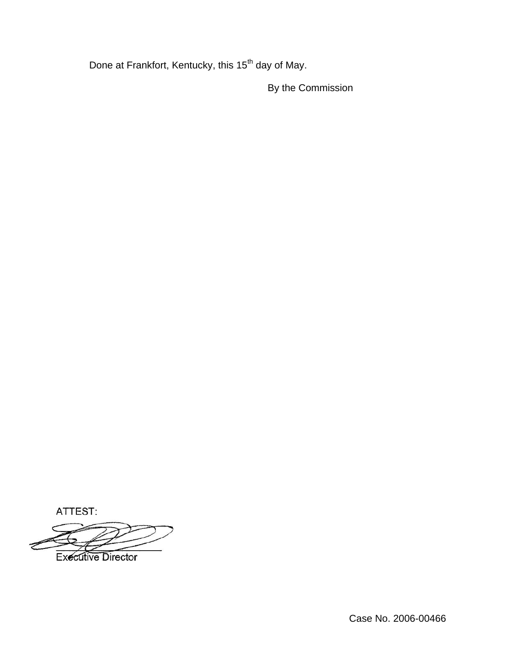Done at Frankfort, Kentucky, this 15<sup>th</sup> day of May.

By the Commission

ATTEST:

**Executive Director**